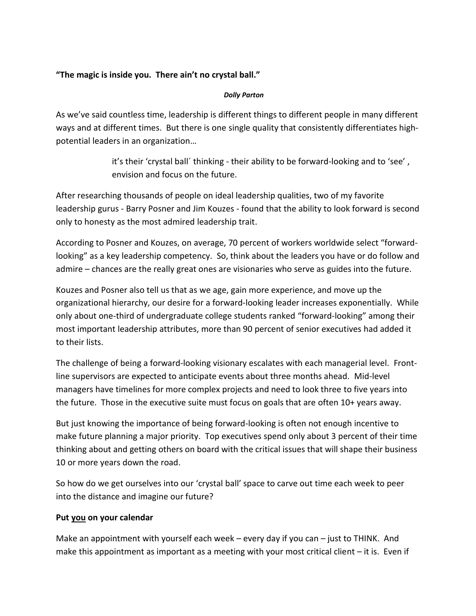### "The magic is inside you. There ain't no crystal ball."

#### **Dolly Parton**

As we've said countless time, leadership is different things to different people in many different ways and at different times. But there is one single quality that consistently differentiates highpotential leaders in an organization...

> it's their 'crystal ball' thinking - their ability to be forward-looking and to 'see', envision and focus on the future.

After researching thousands of people on ideal leadership qualities, two of my favorite leadership gurus - Barry Posner and Jim Kouzes - found that the ability to look forward is second only to honesty as the most admired leadership trait.

According to Posner and Kouzes, on average, 70 percent of workers worldwide select "forwardlooking" as a key leadership competency. So, think about the leaders you have or do follow and admire - chances are the really great ones are visionaries who serve as guides into the future.

Kouzes and Posner also tell us that as we age, gain more experience, and move up the organizational hierarchy, our desire for a forward-looking leader increases exponentially. While only about one-third of undergraduate college students ranked "forward-looking" among their most important leadership attributes, more than 90 percent of senior executives had added it to their lists.

The challenge of being a forward-looking visionary escalates with each managerial level. Frontline supervisors are expected to anticipate events about three months ahead. Mid-level managers have timelines for more complex projects and need to look three to five years into the future. Those in the executive suite must focus on goals that are often 10+ years away.

But just knowing the importance of being forward-looking is often not enough incentive to make future planning a major priority. Top executives spend only about 3 percent of their time thinking about and getting others on board with the critical issues that will shape their business 10 or more years down the road.

So how do we get ourselves into our 'crystal ball' space to carve out time each week to peer into the distance and imagine our future?

### Put you on your calendar

Make an appointment with yourself each week - every day if you can - just to THINK. And make this appointment as important as a meeting with your most critical client  $-$  it is. Even if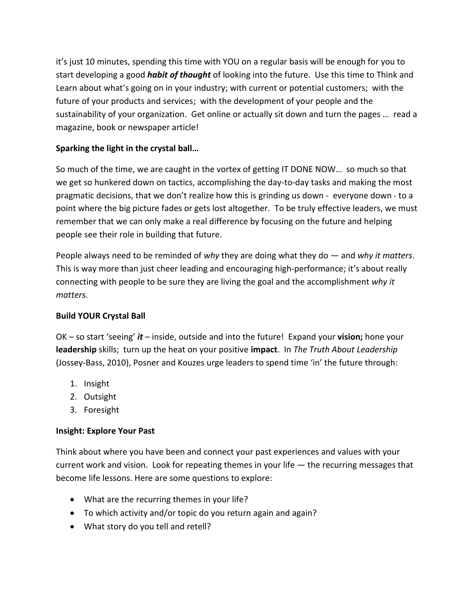it's just 10 minutes, spending this time with YOU on a regular basis will be enough for you to start developing a good *habit of thought* of looking into the future. Use this time to Think and Learn about what's going on in your industry; with current or potential customers; with the future of your products and services; with the development of your people and the sustainability of your organization. Get online or actually sit down and turn the pages ... read a magazine, book or newspaper article!

# Sparking the light in the crystal ball...

So much of the time, we are caught in the vortex of getting IT DONE NOW... so much so that we get so hunkered down on tactics, accomplishing the day-to-day tasks and making the most pragmatic decisions, that we don't realize how this is grinding us down - everyone down - to a point where the big picture fades or gets lost altogether. To be truly effective leaders, we must remember that we can only make a real difference by focusing on the future and helping people see their role in building that future.

People always need to be reminded of why they are doing what they do  $-$  and why it matters. This is way more than just cheer leading and encouraging high-performance; it's about really connecting with people to be sure they are living the goal and the accomplishment why it matters.

### **Build YOUR Crystal Ball**

 $OK$  – so start 'seeing' it – inside, outside and into the future! Expand your vision; hone your leadership skills; turn up the heat on your positive impact. In The Truth About Leadership (Jossey-Bass, 2010), Posner and Kouzes urge leaders to spend time 'in' the future through:

- 1. Insight
- 2. Outsight
- 3. Foresight

### **Insight: Explore Your Past**

Think about where you have been and connect your past experiences and values with your current work and vision. Look for repeating themes in your life  $-$  the recurring messages that become life lessons. Here are some questions to explore:

- What are the recurring themes in your life?
- To which activity and/or topic do you return again and again?
- What story do you tell and retell?